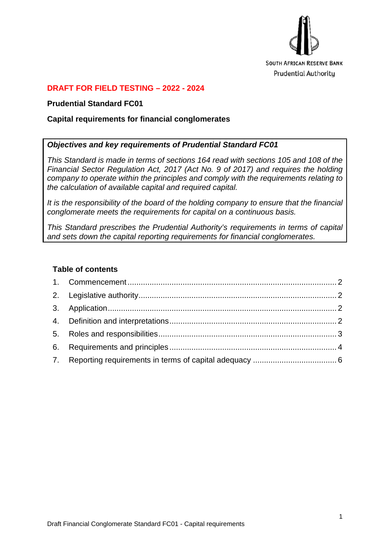

## **DRAFT FOR FIELD TESTING – 2022 - 2024**

#### **Prudential Standard FC01**

#### **Capital requirements for financial conglomerates**

#### *Objectives and key requirements of Prudential Standard FC01*

*This Standard is made in terms of sections 164 read with sections 105 and 108 of the Financial Sector Regulation Act, 2017 (Act No. 9 of 2017) and requires the holding company to operate within the principles and comply with the requirements relating to the calculation of available capital and required capital.* 

*It is the responsibility of the board of the holding company to ensure that the financial conglomerate meets the requirements for capital on a continuous basis.*

*This Standard prescribes the Prudential Authority's requirements in terms of capital and sets down the capital reporting requirements for financial conglomerates.* 

#### **Table of contents**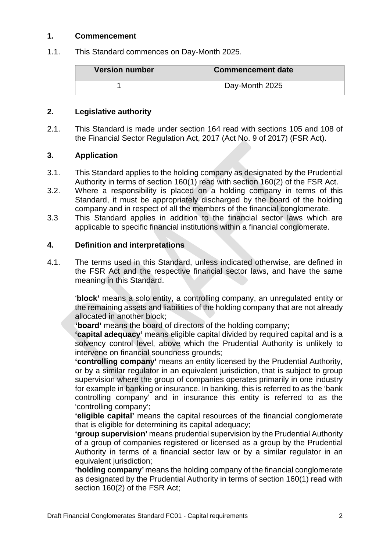#### <span id="page-1-0"></span>**1. Commencement**

1.1. This Standard commences on Day-Month 2025.

| <b>Version number</b> | <b>Commencement date</b> |
|-----------------------|--------------------------|
|                       | Day-Month 2025           |

## <span id="page-1-1"></span>**2. Legislative authority**

2.1. This Standard is made under section 164 read with sections 105 and 108 of the Financial Sector Regulation Act, 2017 (Act No. 9 of 2017) (FSR Act).

## <span id="page-1-2"></span>**3. Application**

- 3.1. This Standard applies to the holding company as designated by the Prudential Authority in terms of section 160(1) read with section 160(2) of the FSR Act.
- 3.2. Where a responsibility is placed on a holding company in terms of this Standard, it must be appropriately discharged by the board of the holding company and in respect of all the members of the financial conglomerate.
- 3.3 This Standard applies in addition to the financial sector laws which are applicable to specific financial institutions within a financial conglomerate.

#### <span id="page-1-3"></span>**4. Definition and interpretations**

4.1. The terms used in this Standard, unless indicated otherwise, are defined in the FSR Act and the respective financial sector laws, and have the same meaning in this Standard.

'**block'** means a solo entity, a controlling company, an unregulated entity or the remaining assets and liabilities of the holding company that are not already allocated in another block;

**'board'** means the board of directors of the holding company;

**'capital adequacy'** means eligible capital divided by required capital and is a solvency control level, above which the Prudential Authority is unlikely to intervene on financial soundness grounds;

**'controlling company'** means an entity licensed by the Prudential Authority, or by a similar regulator in an equivalent jurisdiction, that is subject to group supervision where the group of companies operates primarily in one industry for example in banking or insurance. In banking, this is referred to as the 'bank controlling company' and in insurance this entity is referred to as the 'controlling company';

**'eligible capital'** means the capital resources of the financial conglomerate that is eligible for determining its capital adequacy;

**'group supervision'** means prudential supervision by the Prudential Authority of a group of companies registered or licensed as a group by the Prudential Authority in terms of a financial sector law or by a similar regulator in an equivalent jurisdiction;

**'holding company'** means the holding company of the financial conglomerate as designated by the Prudential Authority in terms of section 160(1) read with section 160(2) of the FSR Act;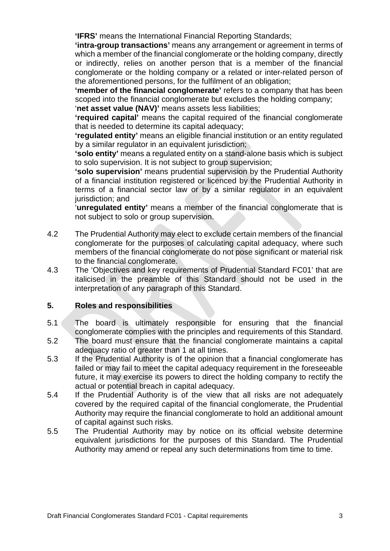**'IFRS'** means the International Financial Reporting Standards;

**'intra-group transactions'** means any arrangement or agreement in terms of which a member of the financial conglomerate or the holding company, directly or indirectly, relies on another person that is a member of the financial conglomerate or the holding company or a related or inter-related person of the aforementioned persons, for the fulfilment of an obligation;

**'member of the financial conglomerate'** refers to a company that has been scoped into the financial conglomerate but excludes the holding company; '**net asset value (NAV)'** means assets less liabilities;

**'required capital'** means the capital required of the financial conglomerate that is needed to determine its capital adequacy;

**'regulated entity'** means an eligible financial institution or an entity regulated by a similar regulator in an equivalent jurisdiction;

**'solo entity'** means a regulated entity on a stand-alone basis which is subject to solo supervision. It is not subject to group supervision;

**'solo supervision'** means prudential supervision by the Prudential Authority of a financial institution registered or licenced by the Prudential Authority in terms of a financial sector law or by a similar regulator in an equivalent jurisdiction; and

'**unregulated entity'** means a member of the financial conglomerate that is not subject to solo or group supervision.

- <span id="page-2-1"></span>4.2 The Prudential Authority may elect to exclude certain members of the financial conglomerate for the purposes of calculating capital adequacy, where such members of the financial conglomerate do not pose significant or material risk to the financial conglomerate.
- 4.3 The 'Objectives and key requirements of Prudential Standard FC01' that are italicised in the preamble of this Standard should not be used in the interpretation of any paragraph of this Standard.

## <span id="page-2-0"></span>**5. Roles and responsibilities**

- 5.1 The board is ultimately responsible for ensuring that the financial conglomerate complies with the principles and requirements of this Standard.
- 5.2 The board must ensure that the financial conglomerate maintains a capital adequacy ratio of greater than 1 at all times.
- 5.3 If the Prudential Authority is of the opinion that a financial conglomerate has failed or may fail to meet the capital adequacy requirement in the foreseeable future, it may exercise its powers to direct the holding company to rectify the actual or potential breach in capital adequacy.
- 5.4 If the Prudential Authority is of the view that all risks are not adequately covered by the required capital of the financial conglomerate, the Prudential Authority may require the financial conglomerate to hold an additional amount of capital against such risks.
- 5.5 The Prudential Authority may by notice on its official website determine equivalent jurisdictions for the purposes of this Standard. The Prudential Authority may amend or repeal any such determinations from time to time.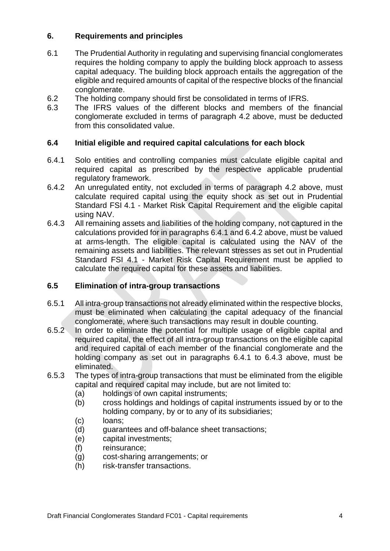# <span id="page-3-0"></span>**6. Requirements and principles**

- 6.1 The Prudential Authority in regulating and supervising financial conglomerates requires the holding company to apply the building block approach to assess capital adequacy. The building block approach entails the aggregation of the eligible and required amounts of capital of the respective blocks of the financial conglomerate.
- 6.2 The holding company should first be consolidated in terms of IFRS.<br>6.3 The IFRS values of the different blocks and members of the
- The IFRS values of the different blocks and members of the financial conglomerate excluded in terms of paragraph [4.2 above,](#page-2-1) must be deducted from this consolidated value.

## **6.4 Initial eligible and required capital calculations for each block**

- <span id="page-3-1"></span>6.4.1 Solo entities and controlling companies must calculate eligible capital and required capital as prescribed by the respective applicable prudential regulatory framework.
- <span id="page-3-2"></span>6.4.2 An unregulated entity, not excluded in terms of paragraph [4.2 above,](#page-2-1) must calculate required capital using the equity shock as set out in Prudential Standard FSI 4.1 - Market Risk Capital Requirement and the eligible capital using NAV.
- <span id="page-3-3"></span>6.4.3 All remaining assets and liabilities of the holding company, not captured in the calculations provided for in paragraphs [6.4.1](#page-3-1) and [6.4.2 above,](#page-3-2) must be valued at arms-length. The eligible capital is calculated using the NAV of the remaining assets and liabilities. The relevant stresses as set out in Prudential Standard FSI 4.1 - Market Risk Capital Requirement must be applied to calculate the required capital for these assets and liabilities.

# **6.5 Elimination of intra-group transactions**

- 6.5.1 All intra-group transactions not already eliminated within the respective blocks, must be eliminated when calculating the capital adequacy of the financial conglomerate, where such transactions may result in double counting.
- 6.5.2 In order to eliminate the potential for multiple usage of eligible capital and required capital, the effect of all intra-group transactions on the eligible capital and required capital of each member of the financial conglomerate and the holding company as set out in paragraphs [6.4.1](#page-3-1) to [6.4.3 above,](#page-3-3) must be eliminated.
- 6.5.3 The types of intra-group transactions that must be eliminated from the eligible capital and required capital may include, but are not limited to:
	- (a) holdings of own capital instruments;
	- (b) cross holdings and holdings of capital instruments issued by or to the holding company, by or to any of its subsidiaries;
	- (c) loans;
	- (d) guarantees and off-balance sheet transactions;
	- (e) capital investments;
	- (f) reinsurance;
	- (g) cost-sharing arrangements; or
	- (h) risk-transfer transactions.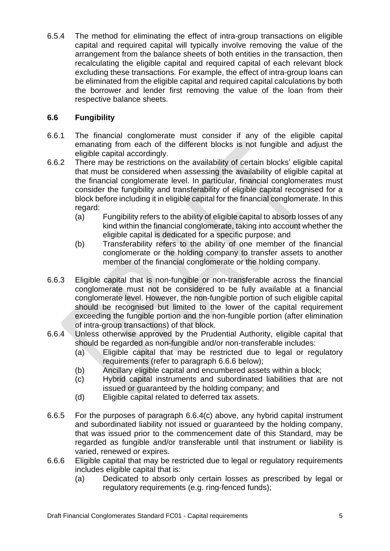6.5.4 The method for eliminating the effect of intra-group transactions on eligible capital and required capital will typically involve removing the value of the arrangement from the balance sheets of both entities in the transaction, then recalculating the eligible capital and required capital of each relevant block excluding these transactions. For example, the effect of intra-group loans can be eliminated from the eligible capital and required capital calculations by both the borrower and lender first removing the value of the loan from their respective balance sheets.

# **6.6 Fungibility**

- 6.6.1 The financial conglomerate must consider if any of the eligible capital emanating from each of the different blocks is not fungible and adjust the eligible capital accordingly.
- 6.6.2 There may be restrictions on the availability of certain blocks' eligible capital that must be considered when assessing the availability of eligible capital at the financial conglomerate level. In particular, financial conglomerates must consider the fungibility and transferability of eligible capital recognised for a block before including it in eligible capital for the financial conglomerate. In this regard:
	- (a) Fungibility refers to the ability of eligible capital to absorb losses of any kind within the financial conglomerate, taking into account whether the eligible capital is dedicated for a specific purpose; and
	- (b) Transferability refers to the ability of one member of the financial conglomerate or the holding company to transfer assets to another member of the financial conglomerate or the holding company.
- 6.6.3 Eligible capital that is non-fungible or non-transferable across the financial conglomerate must not be considered to be fully available at a financial conglomerate level. However, the non-fungible portion of such eligible capital should be recognised but limited to the lower of the capital requirement exceeding the fungible portion and the non-fungible portion (after elimination of intra-group transactions) of that block.
- <span id="page-4-1"></span>6.6.4 Unless otherwise approved by the Prudential Authority, eligible capital that should be regarded as non-fungible and/or non-transferable includes:
	- (a) Eligible capital that may be restricted due to legal or regulatory requirements (refer to paragraph [6.6.6 below\)](#page-4-0);
	- (b) Ancillary eligible capital and encumbered assets within a block;<br>(c) Hybrid capital instruments and subordinated liabilities that are
	- Hybrid capital instruments and subordinated liabilities that are not issued or guaranteed by the holding company; and
	- (d) Eligible capital related to deferred tax assets.
- <span id="page-4-2"></span>6.6.5 For the purposes of paragraph [6.6.4](#page-4-1)[\(c\) above,](#page-4-2) any hybrid capital instrument and subordinated liability not issued or guaranteed by the holding company, that was issued prior to the commencement date of this Standard, may be regarded as fungible and/or transferable until that instrument or liability is varied, renewed or expires.
- <span id="page-4-0"></span>6.6.6 Eligible capital that may be restricted due to legal or regulatory requirements includes eligible capital that is:
	- (a) Dedicated to absorb only certain losses as prescribed by legal or regulatory requirements (e.g. ring-fenced funds);